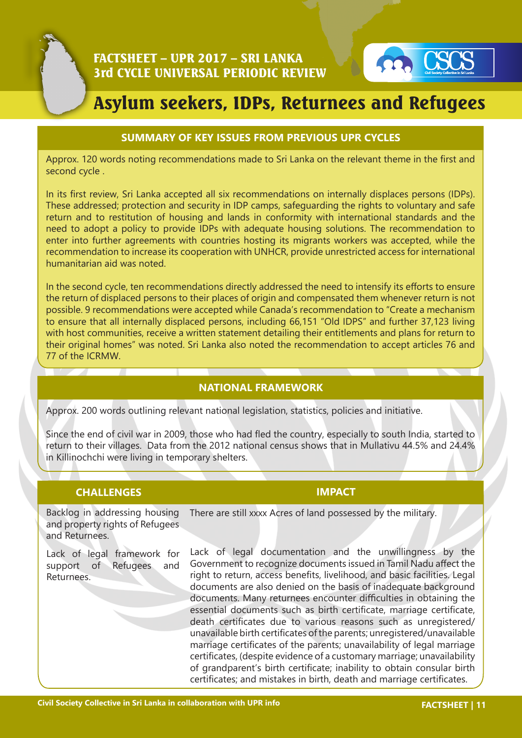

# Asylum seekers, IDPs, Returnees and Refugees

## **SUMMARY OF KEY ISSUES FROM PREVIOUS UPR CYCLES**

Approx. 120 words noting recommendations made to Sri Lanka on the relevant theme in the first and second cycle .

In its first review, Sri Lanka accepted all six recommendations on internally displaces persons (IDPs). These addressed; protection and security in IDP camps, safeguarding the rights to voluntary and safe return and to restitution of housing and lands in conformity with international standards and the need to adopt a policy to provide IDPs with adequate housing solutions. The recommendation to enter into further agreements with countries hosting its migrants workers was accepted, while the recommendation to increase its cooperation with UNHCR, provide unrestricted access for international humanitarian aid was noted.

In the second cycle, ten recommendations directly addressed the need to intensify its efforts to ensure the return of displaced persons to their places of origin and compensated them whenever return is not possible. 9 recommendations were accepted while Canada's recommendation to "Create a mechanism to ensure that all internally displaced persons, including 66,151 "Old IDPS" and further 37,123 living with host communities, receive a written statement detailing their entitlements and plans for return to their original homes" was noted. Sri Lanka also noted the recommendation to accept articles 76 and 77 of the ICRMW.

# **NATIONAL FRAMEWORK**

Approx. 200 words outlining relevant national legislation, statistics, policies and initiative.

Since the end of civil war in 2009, those who had fled the country, especially to south India, started to return to their villages. Data from the 2012 national census shows that in Mullativu 44.5% and 24.4% in Killinochchi were living in temporary shelters.

#### **CHALLENGES IMPACT**

Backlog in addressing housing and property rights of Refugees and Returnees. There are still xxxx Acres of land possessed by the military.

Lack of legal framework for support of Refugees and Returnees.

Lack of legal documentation and the unwillingness by the Government to recognize documents issued in Tamil Nadu affect the right to return, access benefits, livelihood, and basic facilities. Legal documents are also denied on the basis of inadequate background documents. Many returnees encounter difficulties in obtaining the essential documents such as birth certificate, marriage certificate, death certificates due to various reasons such as unregistered/ unavailable birth certificates of the parents; unregistered/unavailable marriage certificates of the parents; unavailability of legal marriage certificates, (despite evidence of a customary marriage; unavailability of grandparent's birth certificate; inability to obtain consular birth certificates; and mistakes in birth, death and marriage certificates.